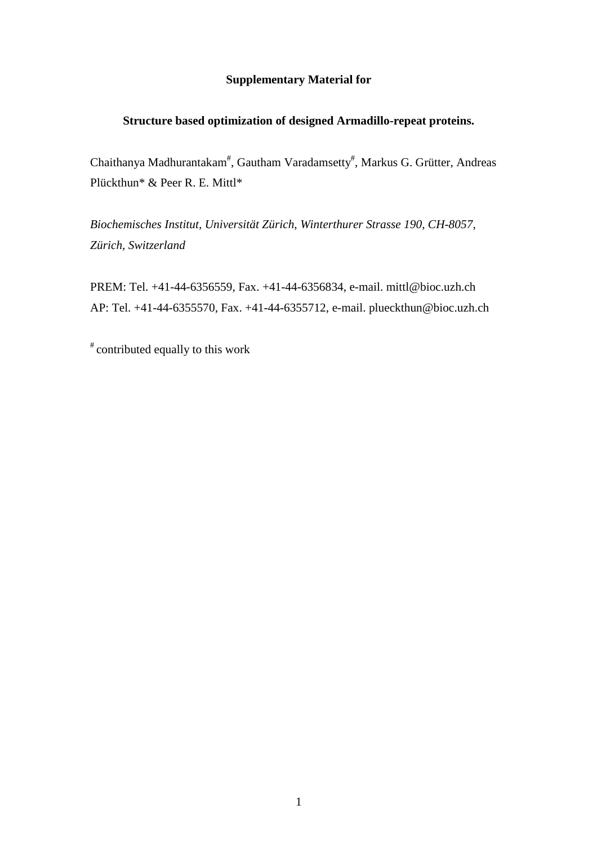## **Supplementary Material for**

## **Structure based optimization of designed Armadillo-repeat proteins.**

Chaithanya Madhurantakam<sup>#</sup>, Gautham Varadamsetty<sup>#</sup>, Markus G. Grütter, Andreas Plückthun\* & Peer R. E. Mittl\*

*Biochemisches Institut, Universität Zürich, Winterthurer Strasse 190, CH-8057, Zürich, Switzerland* 

PREM: Tel. +41-44-6356559, Fax. +41-44-6356834, e-mail. mittl@bioc.uzh.ch AP: Tel. +41-44-6355570, Fax. +41-44-6355712, e-mail. plueckthun@bioc.uzh.ch

# contributed equally to this work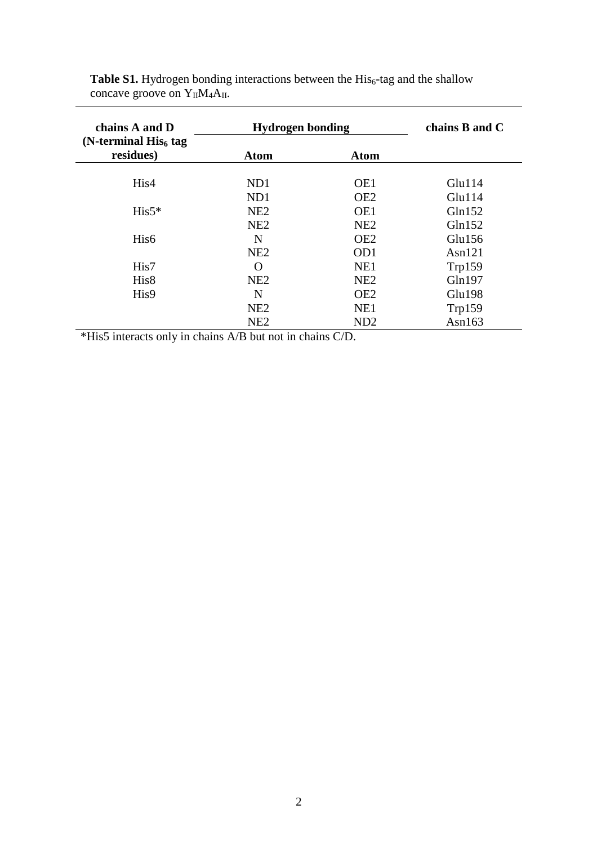| chains A and D                      | <b>Hydrogen bonding</b> | chains B and C  |           |
|-------------------------------------|-------------------------|-----------------|-----------|
| (N-terminal $His6$ tag<br>residues) | <b>Atom</b>             | <b>Atom</b>     |           |
| His4                                | ND1                     | OE1             | Glu114    |
|                                     | ND1                     | OE <sub>2</sub> | Glu114    |
| $His5*$                             | NE2                     | OE1             | Gln152    |
|                                     | NE2                     | NE <sub>2</sub> | Gln152    |
| His <sub>6</sub>                    | N                       | OE <sub>2</sub> | Glu156    |
|                                     | NE2                     | OD <sub>1</sub> | Asn $121$ |
| His7                                | O                       | NE1             | Trp159    |
| His <sub>8</sub>                    | NE <sub>2</sub>         | NE <sub>2</sub> | Gln197    |
| His9                                | N                       | OE <sub>2</sub> | Glu198    |
|                                     | NE2                     | NE1             | Trp159    |
|                                     | NE <sub>2</sub>         | ND <sub>2</sub> | Asn $163$ |

Table S1. Hydrogen bonding interactions between the His<sub>6</sub>-tag and the shallow concave groove on  $Y_{II}M_4A_{II}$ .

\*His5 interacts only in chains A/B but not in chains C/D.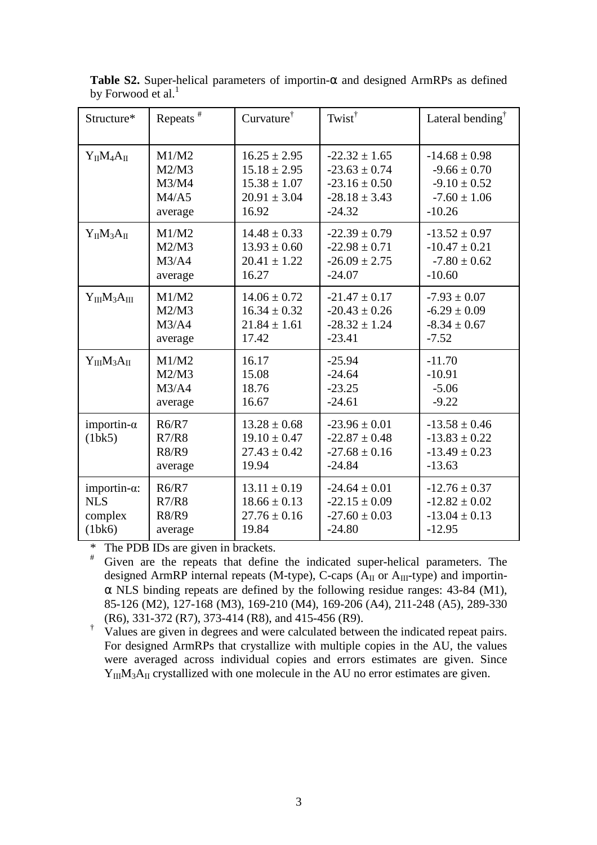| Structure*                   | Repeats <sup>#</sup>                      | $Curvature^{\dagger}$                                             | Twist <sup><math>\dagger</math></sup>                                   | Lateral bending <sup><math>\uparrow</math></sup>                        |
|------------------------------|-------------------------------------------|-------------------------------------------------------------------|-------------------------------------------------------------------------|-------------------------------------------------------------------------|
| $Y_{II}M_4A_{II}$            | M1/M2                                     | $16.25 \pm 2.95$                                                  | $-22.32 \pm 1.65$                                                       | $-14.68 \pm 0.98$                                                       |
|                              | M2/M3                                     | $15.18 \pm 2.95$                                                  | $-23.63 \pm 0.74$                                                       | $-9.66 \pm 0.70$                                                        |
|                              | M3/M4                                     | $15.38 \pm 1.07$                                                  | $-23.16 \pm 0.50$                                                       | $-9.10 \pm 0.52$                                                        |
|                              | M4/A5                                     | $20.91 \pm 3.04$                                                  | $-28.18 \pm 3.43$                                                       | $-7.60 \pm 1.06$                                                        |
|                              | average                                   | 16.92                                                             | $-24.32$                                                                | $-10.26$                                                                |
| $Y_{II}M_3A_{II}$            | M1/M2                                     | $14.48 \pm 0.33$                                                  | $-22.39 \pm 0.79$                                                       | $-13.52 \pm 0.97$                                                       |
|                              | M2/M3                                     | $13.93 \pm 0.60$                                                  | $-22.98 \pm 0.71$                                                       | $-10.47 \pm 0.21$                                                       |
|                              | M3/A4                                     | $20.41 \pm 1.22$                                                  | $-26.09 \pm 2.75$                                                       | $-7.80 \pm 0.62$                                                        |
|                              | average                                   | 16.27                                                             | $-24.07$                                                                | $-10.60$                                                                |
| $Y_{III}M_3A_{III}$          | M1/M2                                     | $14.06 \pm 0.72$                                                  | $-21.47 \pm 0.17$                                                       | $-7.93 \pm 0.07$                                                        |
|                              | M2/M3                                     | $16.34 \pm 0.32$                                                  | $-20.43 \pm 0.26$                                                       | $-6.29 \pm 0.09$                                                        |
|                              | M3/A4                                     | $21.84 \pm 1.61$                                                  | $-28.32 \pm 1.24$                                                       | $-8.34 \pm 0.67$                                                        |
|                              | average                                   | 17.42                                                             | $-23.41$                                                                | $-7.52$                                                                 |
| $Y_{III}M_3A_{II}$           | M1/M2                                     | 16.17                                                             | $-25.94$                                                                | $-11.70$                                                                |
|                              | M2/M3                                     | 15.08                                                             | $-24.64$                                                                | $-10.91$                                                                |
|                              | M3/A4                                     | 18.76                                                             | $-23.25$                                                                | $-5.06$                                                                 |
|                              | average                                   | 16.67                                                             | $-24.61$                                                                | $-9.22$                                                                 |
| importin- $\alpha$<br>(1bk5) | R6/R7<br>R7/R8<br><b>R8/R9</b><br>average | $13.28 \pm 0.68$<br>$19.10 \pm 0.47$<br>$27.43 \pm 0.42$<br>19.94 | $-23.96 \pm 0.01$<br>$-22.87 \pm 0.48$<br>$-27.68 \pm 0.16$<br>$-24.84$ | $-13.58 \pm 0.46$<br>$-13.83 \pm 0.22$<br>$-13.49 \pm 0.23$<br>$-13.63$ |
| importin- $\alpha$ :         | R6/R7                                     | $13.11 \pm 0.19$                                                  | $-24.64 \pm 0.01$                                                       | $-12.76 \pm 0.37$                                                       |
| <b>NLS</b>                   | R7/R8                                     | $18.66 \pm 0.13$                                                  | $-22.15 \pm 0.09$                                                       | $-12.82 \pm 0.02$                                                       |
| complex                      | <b>R8/R9</b>                              | $27.76 \pm 0.16$                                                  | $-27.60 \pm 0.03$                                                       | $-13.04 \pm 0.13$                                                       |
| (1bk6)                       | average                                   | 19.84                                                             | $-24.80$                                                                | $-12.95$                                                                |

**Table S2.** Super-helical parameters of importin- $\alpha$  and designed ArmRPs as defined by Forwood et al. $<sup>1</sup>$ </sup>

\* The PDB IDs are given in brackets.

# Given are the repeats that define the indicated super-helical parameters. The designed ArmRP internal repeats (M-type), C-caps ( $A_{II}$  or  $A_{III}$ -type) and importin- $\alpha$  NLS binding repeats are defined by the following residue ranges: 43-84 (M1), 85-126 (M2), 127-168 (M3), 169-210 (M4), 169-206 (A4), 211-248 (A5), 289-330 (R6), 331-372 (R7), 373-414 (R8), and 415-456 (R9).

<sup>†</sup> Values are given in degrees and were calculated between the indicated repeat pairs. For designed ArmRPs that crystallize with multiple copies in the AU, the values were averaged across individual copies and errors estimates are given. Since  $Y_{III}M_3A_{II}$  crystallized with one molecule in the AU no error estimates are given.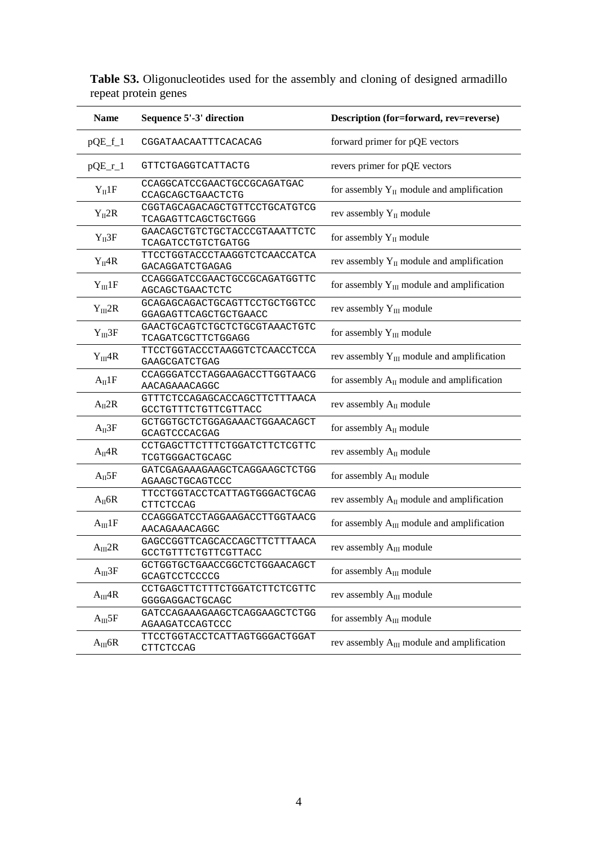| <b>Name</b>  | Sequence 5'-3' direction                               | Description (for=forward, rev=reverse)          |  |
|--------------|--------------------------------------------------------|-------------------------------------------------|--|
| $pQE_f_1$    | CGGATAACAATTTCACACAG                                   | forward primer for pQE vectors                  |  |
| $pQE_r_1$    | GTTCTGAGGTCATTACTG                                     | revers primer for pQE vectors                   |  |
| $Y_{II}1F$   | CCAGGCATCCGAACTGCCGCAGATGAC<br>CCAGCAGCTGAACTCTG       | for assembly $Y_{II}$ module and amplification  |  |
| $Y_{II}$ 2R  | CGGTAGCAGACAGCTGTTCCTGCATGTCG<br>TCAGAGTTCAGCTGCTGGG   | rev assembly $Y_{II}$ module                    |  |
| $Y_{II}3F$   | GAACAGCTGTCTGCTACCCGTAAATTCTC<br>TCAGATCCTGTCTGATGG    | for assembly $Y_{II}$ module                    |  |
| $Y_{II}4R$   | TTCCTGGTACCCTAAGGTCTCAACCATCA<br>GACAGGATCTGAGAG       | rev assembly $Y_{II}$ module and amplification  |  |
| $Y_{III}1F$  | CCAGGGATCCGAACTGCCGCAGATGGTTC<br>AGCAGCTGAACTCTC       | for assembly $Y_{III}$ module and amplification |  |
| $Y_{III}$ 2R | GCAGAGCAGACTGCAGTTCCTGCTGGTCC<br>GGAGAGTTCAGCTGCTGAACC | rev assembly $Y_{III}$ module                   |  |
| $Y_{III}3F$  | GAACTGCAGTCTGCTCTGCGTAAACTGTC<br>TCAGATCGCTTCTGGAGG    | for assembly $Y_{III}$ module                   |  |
| $Y_{III}$ 4R | TTCCTGGTACCCTAAGGTCTCAACCTCCA<br>GAAGCGATCTGAG         | rev assembly $Y_{III}$ module and amplification |  |
| $A_{II}1F$   | CCAGGGATCCTAGGAAGACCTTGGTAACG<br>AACAGAAACAGGC         | for assembly $A_{II}$ module and amplification  |  |
| $A_{II}2R$   | GTTTCTCCAGAGCACCAGCTTCTTTAACA<br>GCCTGTTTCTGTTCGTTACC  | rev assembly A <sub>II</sub> module             |  |
| $A_{II}3F$   | GCTGGTGCTCTGGAGAAACTGGAACAGCT<br>GCAGTCCCACGAG         | for assembly $A_{II}$ module                    |  |
| $A_{II}4R$   | CCTGAGCTTCTTTCTGGATCTTCTCGTTC<br>TCGTGGGACTGCAGC       | rev assembly A <sub>II</sub> module             |  |
| $A_{II}5F$   | GATCGAGAAAGAAGCTCAGGAAGCTCTGG<br>AGAAGCTGCAGTCCC       | for assembly $A_{II}$ module                    |  |
| $A_{II}$ 6R  | TTCCTGGTACCTCATTAGTGGGACTGCAG<br><b>CTTCTCCAG</b>      | rev assembly $A_{II}$ module and amplification  |  |
| $A_{III}1F$  | CCAGGGATCCTAGGAAGACCTTGGTAACG<br>AACAGAAACAGGC         | for assembly $A_{III}$ module and amplification |  |
| $A_{III}$ 2R | GAGCCGGTTCAGCACCAGCTTCTTTAACA<br>GCCTGTTTCTGTTCGTTACC  | rev assembly A <sub>III</sub> module            |  |
| $A_{III}3F$  | GCTGGTGCTGAACCGGCTCTGGAACAGCT<br>GCAGTCCTCCCCG         | for assembly $A_{III}$ module                   |  |
| $A_{III}$ 4R | CCTGAGCTTCTTTCTGGATCTTCTCGTTC<br>GGGGAGGACTGCAGC       | rev assembly A <sub>III</sub> module            |  |
| $A_{III}5F$  | GATCCAGAAAGAAGCTCAGGAAGCTCTGG<br>AGAAGATCCAGTCCC       | for assembly $A_{III}$ module                   |  |
| $A_{III}$ 6R | TTCCTGGTACCTCATTAGTGGGACTGGAT<br><b>CTTCTCCAG</b>      | rev assembly $A_{III}$ module and amplification |  |

**Table S3.** Oligonucleotides used for the assembly and cloning of designed armadillo repeat protein genes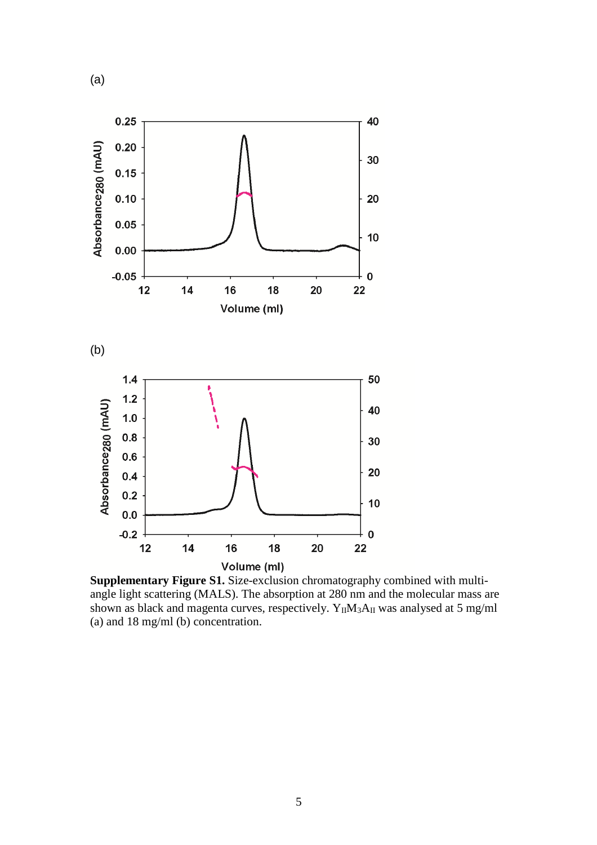

**Supplementary Figure S1.** Size-exclusion chromatography combined with multiangle light scattering (MALS). The absorption at 280 nm and the molecular mass are shown as black and magenta curves, respectively.  $Y_{II}M_3A_{II}$  was analysed at 5 mg/ml (a) and 18 mg/ml (b) concentration.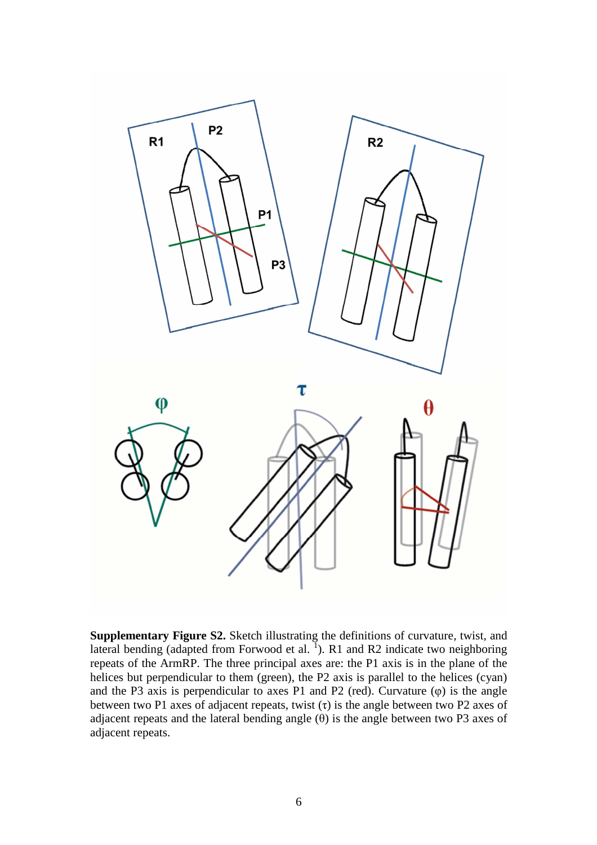

**Supplementary Figure S2.** Sketch illustrating the definitions of curvature, twist, and lateral bending (adapted from Forwood et al.  $\overline{1}$ ). R1 and R2 indicate two neighboring repeats of the ArmRP. The three principal axes are: the P1 axis is in the plane of the helices but perpendicular to them (green), the P2 axis is parallel to the helices (cyan) and the P3 axis is perpendicular to axes P1 and P2 (red). Curvature (φ) is the angle between two P1 axes of adjacent repeats, twist  $(τ)$  is the angle between two P2 axes of adjacent repeats and the lateral bending angle  $(\theta)$  is the angle between two P3 axes of adjacent repeats.